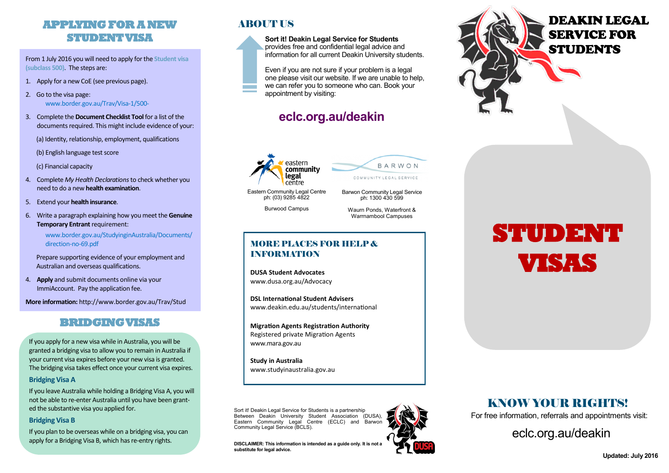### **APPLYING FOR A NEW STUDENT VISA**

From 1 July 2016 you will need to apply for the **Student visa (subclass 500)**.The steps are:

- 1. Apply for a new CoE (see previous page).
- 2. Go to the visa page: [www.border.gov.au/Trav/Visa](http://www.border.gov.au/Trav/Visa-1/500-)-1/500-
- 3. Complete the **Document Checklist Tool**for a list of the documents required. This might include evidence of your:

(a) Identity, relationship, employment, qualifications

(b) English language test score

(c) Financial capacity

- 4. Complete *My Health Declarations* to check whether you need to do a new **health examination**.
- 5. Extend your **health insurance**.
- 6. Write a paragraph explaining how you meet the **Genuine Temporary Entrant** requirement:

[www.border.gov.au/StudyinginAustralia/Documents/](http://www.border.gov.au/StudyinginAustralia/Documents/direction-no-69.pdf) [direction](http://www.border.gov.au/StudyinginAustralia/Documents/direction-no-69.pdf)-no-69.pdf

Prepare supporting evidence of your employment and Australian and overseas qualifications.

4. **Apply** and submit documents online via your ImmiAccount. Pay the application fee.

**More information:** http://www.border.gov.au/Trav/Stud

#### **BRIDGING VISAS**

If you apply for a new visa while in Australia, you will be granted a bridging visa to allow you to remain in Australia if your current visa expires before your new visa is granted. The bridging visa takes effect once your current visa expires.

#### **Bridging Visa A**

If you leave Australia while holding a Bridging Visa A, you will not be able to re-enter Australia until you have been granted the substantive visa you applied for.

#### **Bridging Visa B**

If you plan to be overseas while on a bridging visa, you can apply for a Bridging Visa B, which has re-entry rights.

#### **ABOUT US**

**Sort it! Deakin Legal Service for Students** provides free and confidential legal advice and information for all current Deakin University students.

Even if you are not sure if your problem is a legal one please visit our website. If we are unable to help, we can refer you to someone who can. Book your appointment by visiting:

# **eclc.org.au/deakin**





Barwon Community Legal Service ph: 1300 430 599

ph: (03) 9285 4822 Burwood Campus

Waurn Ponds, Waterfront & Warrnambool Campuses

#### MORE PLACES FOR HELP & INFORMATION

**DUSA Student Advocates**  www.dusa.org.au/Advocacy

**DSL International Student Advisers** www.deakin.edu.au/students/international

**Migration Agents Registration Authority** Registered private Migration Agents www.mara.gov.au

**Study in Australia** www.studyinaustralia.gov.au

Sort it! Deakin Legal Service for Students is a partnership Between Deakin University Student Association (DUSA), Eastern Community Legal Centre (ECLC) and Barwon Community Legal Service (BCLS).

**DISCLAIMER: This information is intended as a guide only. It is not a substitute for legal advice.**



# DEAKIN LEGAL SERVICE FOR **STUDENTS**

# **STUDENT VISAS**

## KNOW YOUR RIGHTS!

For free information, referrals and appointments visit:

[eclc.org.au/deakin](http://www.eclc.org.au/deakin)